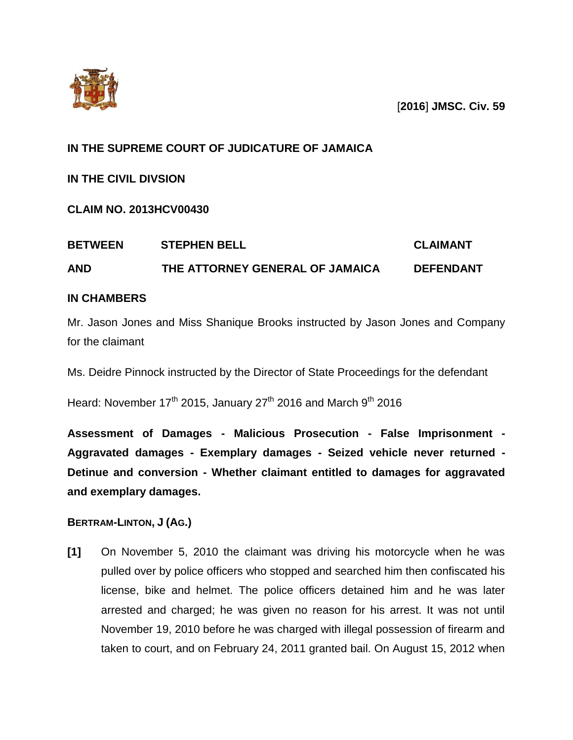



# **IN THE SUPREME COURT OF JUDICATURE OF JAMAICA**

**IN THE CIVIL DIVSION**

**CLAIM NO. 2013HCV00430**

| <b>BETWEEN</b> | <b>STEPHEN BELL</b>             | <b>CLAIMANT</b>  |  |
|----------------|---------------------------------|------------------|--|
| <b>AND</b>     | THE ATTORNEY GENERAL OF JAMAICA | <b>DEFENDANT</b> |  |

# **IN CHAMBERS**

Mr. Jason Jones and Miss Shanique Brooks instructed by Jason Jones and Company for the claimant

Ms. Deidre Pinnock instructed by the Director of State Proceedings for the defendant

Heard: November  $17<sup>th</sup>$  2015, January 27<sup>th</sup> 2016 and March 9<sup>th</sup> 2016

**Assessment of Damages - Malicious Prosecution - False Imprisonment - Aggravated damages - Exemplary damages - Seized vehicle never returned - Detinue and conversion - Whether claimant entitled to damages for aggravated and exemplary damages.**

# **BERTRAM-LINTON, J (AG.)**

**[1]** On November 5, 2010 the claimant was driving his motorcycle when he was pulled over by police officers who stopped and searched him then confiscated his license, bike and helmet. The police officers detained him and he was later arrested and charged; he was given no reason for his arrest. It was not until November 19, 2010 before he was charged with illegal possession of firearm and taken to court, and on February 24, 2011 granted bail. On August 15, 2012 when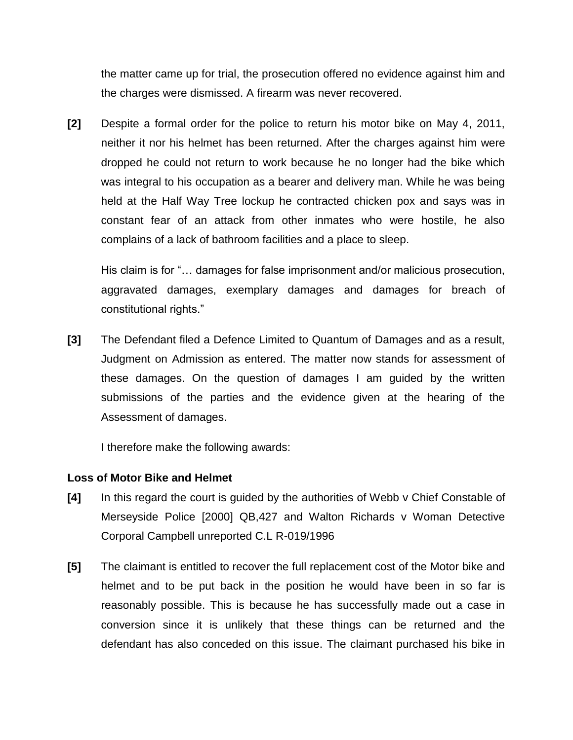the matter came up for trial, the prosecution offered no evidence against him and the charges were dismissed. A firearm was never recovered.

**[2]** Despite a formal order for the police to return his motor bike on May 4, 2011, neither it nor his helmet has been returned. After the charges against him were dropped he could not return to work because he no longer had the bike which was integral to his occupation as a bearer and delivery man. While he was being held at the Half Way Tree lockup he contracted chicken pox and says was in constant fear of an attack from other inmates who were hostile, he also complains of a lack of bathroom facilities and a place to sleep.

His claim is for "… damages for false imprisonment and/or malicious prosecution, aggravated damages, exemplary damages and damages for breach of constitutional rights."

**[3]** The Defendant filed a Defence Limited to Quantum of Damages and as a result, Judgment on Admission as entered. The matter now stands for assessment of these damages. On the question of damages I am guided by the written submissions of the parties and the evidence given at the hearing of the Assessment of damages.

I therefore make the following awards:

## **Loss of Motor Bike and Helmet**

- **[4]** In this regard the court is guided by the authorities of Webb v Chief Constable of Merseyside Police [2000] QB,427 and Walton Richards v Woman Detective Corporal Campbell unreported C.L R-019/1996
- **[5]** The claimant is entitled to recover the full replacement cost of the Motor bike and helmet and to be put back in the position he would have been in so far is reasonably possible. This is because he has successfully made out a case in conversion since it is unlikely that these things can be returned and the defendant has also conceded on this issue. The claimant purchased his bike in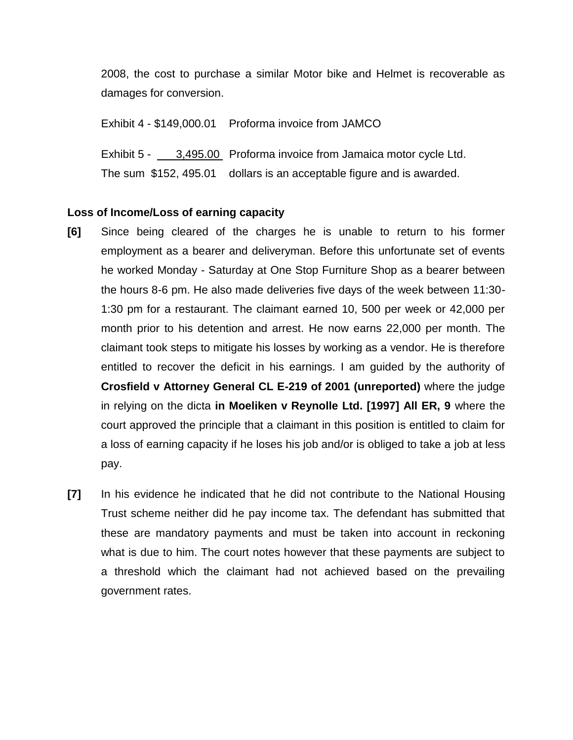2008, the cost to purchase a similar Motor bike and Helmet is recoverable as damages for conversion.

Exhibit 4 - \$149,000.01 Proforma invoice from JAMCO

Exhibit 5 - 3,495.00 Proforma invoice from Jamaica motor cycle Ltd. The sum \$152, 495.01 dollars is an acceptable figure and is awarded.

#### **Loss of Income/Loss of earning capacity**

- **[6]** Since being cleared of the charges he is unable to return to his former employment as a bearer and deliveryman. Before this unfortunate set of events he worked Monday - Saturday at One Stop Furniture Shop as a bearer between the hours 8-6 pm. He also made deliveries five days of the week between 11:30- 1:30 pm for a restaurant. The claimant earned 10, 500 per week or 42,000 per month prior to his detention and arrest. He now earns 22,000 per month. The claimant took steps to mitigate his losses by working as a vendor. He is therefore entitled to recover the deficit in his earnings. I am guided by the authority of **Crosfield v Attorney General CL E-219 of 2001 (unreported)** where the judge in relying on the dicta **in Moeliken v Reynolle Ltd. [1997] All ER, 9** where the court approved the principle that a claimant in this position is entitled to claim for a loss of earning capacity if he loses his job and/or is obliged to take a job at less pay.
- **[7]** In his evidence he indicated that he did not contribute to the National Housing Trust scheme neither did he pay income tax. The defendant has submitted that these are mandatory payments and must be taken into account in reckoning what is due to him. The court notes however that these payments are subject to a threshold which the claimant had not achieved based on the prevailing government rates.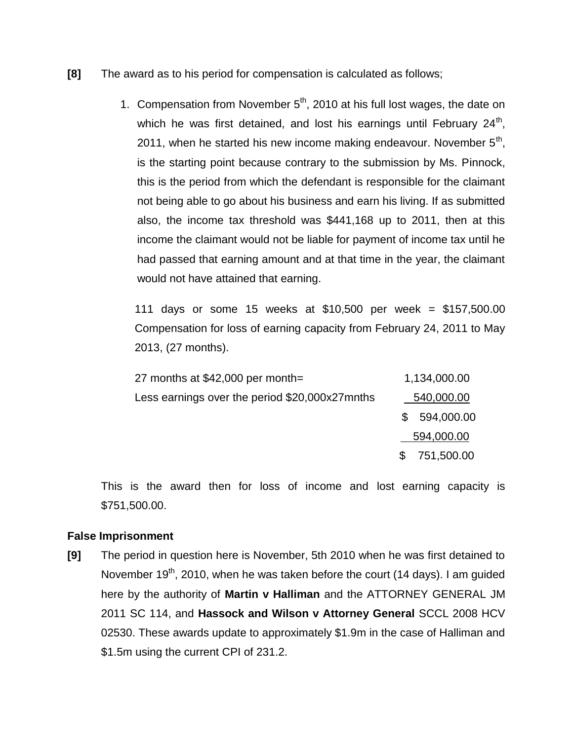- **[8]** The award as to his period for compensation is calculated as follows;
	- 1. Compensation from November  $5<sup>th</sup>$ , 2010 at his full lost wages, the date on which he was first detained, and lost his earnings until February 24<sup>th</sup>, 2011, when he started his new income making endeavour. November  $5<sup>th</sup>$ , is the starting point because contrary to the submission by Ms. Pinnock, this is the period from which the defendant is responsible for the claimant not being able to go about his business and earn his living. If as submitted also, the income tax threshold was \$441,168 up to 2011, then at this income the claimant would not be liable for payment of income tax until he had passed that earning amount and at that time in the year, the claimant would not have attained that earning.

111 days or some 15 weeks at \$10,500 per week = \$157,500.00 Compensation for loss of earning capacity from February 24, 2011 to May 2013, (27 months).

| 27 months at \$42,000 per month=               | 1,134,000.00      |
|------------------------------------------------|-------------------|
| Less earnings over the period \$20,000x27mnths | 540,000.00        |
|                                                | 594,000.00        |
|                                                | 594,000.00        |
|                                                | 751,500.00<br>\$. |

This is the award then for loss of income and lost earning capacity is \$751,500.00.

## **False Imprisonment**

**[9]** The period in question here is November, 5th 2010 when he was first detained to November 19<sup>th</sup>, 2010, when he was taken before the court (14 days). I am guided here by the authority of **Martin v Halliman** and the ATTORNEY GENERAL JM 2011 SC 114, and **Hassock and Wilson v Attorney General** SCCL 2008 HCV 02530. These awards update to approximately \$1.9m in the case of Halliman and \$1.5m using the current CPI of 231.2.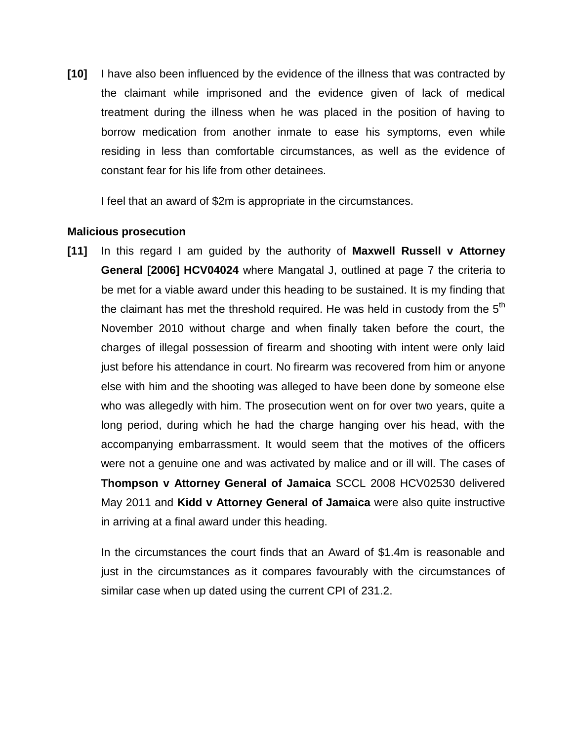**[10]** I have also been influenced by the evidence of the illness that was contracted by the claimant while imprisoned and the evidence given of lack of medical treatment during the illness when he was placed in the position of having to borrow medication from another inmate to ease his symptoms, even while residing in less than comfortable circumstances, as well as the evidence of constant fear for his life from other detainees.

I feel that an award of \$2m is appropriate in the circumstances.

### **Malicious prosecution**

**[11]** In this regard I am guided by the authority of **Maxwell Russell v Attorney General [2006] HCV04024** where Mangatal J, outlined at page 7 the criteria to be met for a viable award under this heading to be sustained. It is my finding that the claimant has met the threshold required. He was held in custody from the  $5<sup>th</sup>$ November 2010 without charge and when finally taken before the court, the charges of illegal possession of firearm and shooting with intent were only laid just before his attendance in court. No firearm was recovered from him or anyone else with him and the shooting was alleged to have been done by someone else who was allegedly with him. The prosecution went on for over two years, quite a long period, during which he had the charge hanging over his head, with the accompanying embarrassment. It would seem that the motives of the officers were not a genuine one and was activated by malice and or ill will. The cases of **Thompson v Attorney General of Jamaica** SCCL 2008 HCV02530 delivered May 2011 and **Kidd v Attorney General of Jamaica** were also quite instructive in arriving at a final award under this heading.

In the circumstances the court finds that an Award of \$1.4m is reasonable and just in the circumstances as it compares favourably with the circumstances of similar case when up dated using the current CPI of 231.2.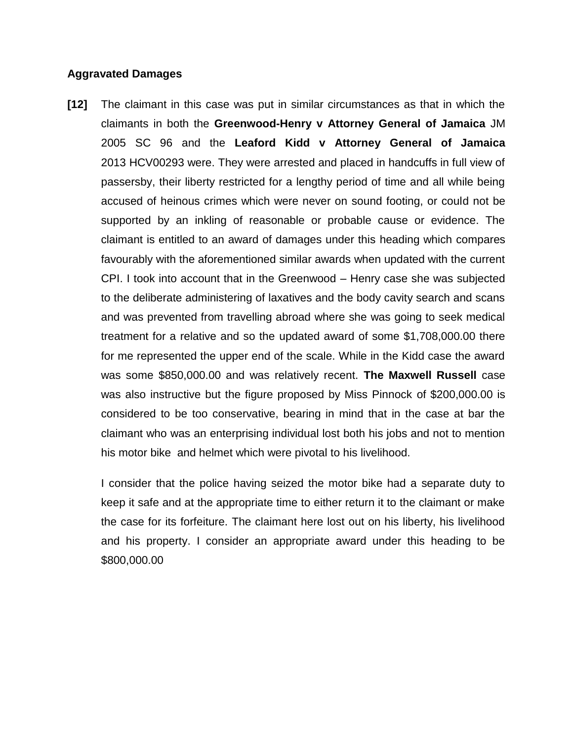### **Aggravated Damages**

**[12]** The claimant in this case was put in similar circumstances as that in which the claimants in both the **Greenwood-Henry v Attorney General of Jamaica** JM 2005 SC 96 and the **Leaford Kidd v Attorney General of Jamaica**  2013 HCV00293 were. They were arrested and placed in handcuffs in full view of passersby, their liberty restricted for a lengthy period of time and all while being accused of heinous crimes which were never on sound footing, or could not be supported by an inkling of reasonable or probable cause or evidence. The claimant is entitled to an award of damages under this heading which compares favourably with the aforementioned similar awards when updated with the current CPI. I took into account that in the Greenwood – Henry case she was subjected to the deliberate administering of laxatives and the body cavity search and scans and was prevented from travelling abroad where she was going to seek medical treatment for a relative and so the updated award of some \$1,708,000.00 there for me represented the upper end of the scale. While in the Kidd case the award was some \$850,000.00 and was relatively recent. **The Maxwell Russell** case was also instructive but the figure proposed by Miss Pinnock of \$200,000.00 is considered to be too conservative, bearing in mind that in the case at bar the claimant who was an enterprising individual lost both his jobs and not to mention his motor bike and helmet which were pivotal to his livelihood.

I consider that the police having seized the motor bike had a separate duty to keep it safe and at the appropriate time to either return it to the claimant or make the case for its forfeiture. The claimant here lost out on his liberty, his livelihood and his property. I consider an appropriate award under this heading to be \$800,000.00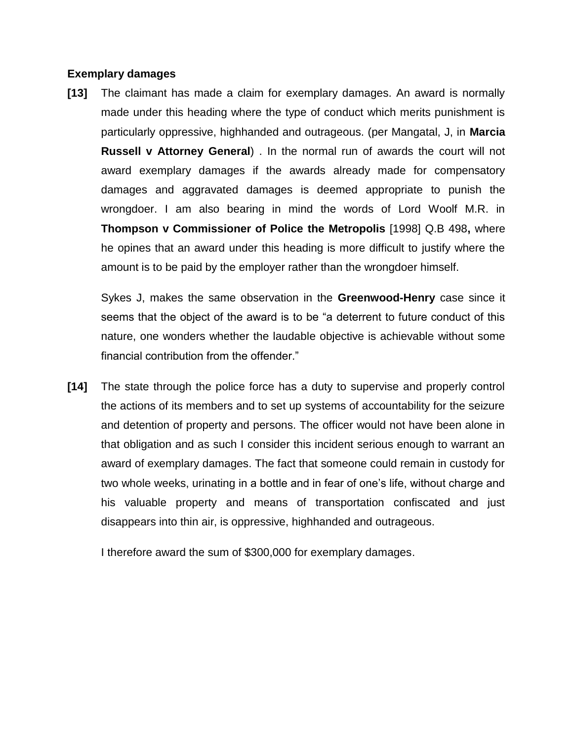### **Exemplary damages**

**[13]** The claimant has made a claim for exemplary damages. An award is normally made under this heading where the type of conduct which merits punishment is particularly oppressive, highhanded and outrageous. (per Mangatal, J, in **Marcia Russell v Attorney General**) . In the normal run of awards the court will not award exemplary damages if the awards already made for compensatory damages and aggravated damages is deemed appropriate to punish the wrongdoer. I am also bearing in mind the words of Lord Woolf M.R. in **Thompson v Commissioner of Police the Metropolis** [1998] Q.B 498**,** where he opines that an award under this heading is more difficult to justify where the amount is to be paid by the employer rather than the wrongdoer himself.

Sykes J, makes the same observation in the **Greenwood-Henry** case since it seems that the object of the award is to be "a deterrent to future conduct of this nature, one wonders whether the laudable objective is achievable without some financial contribution from the offender."

**[14]** The state through the police force has a duty to supervise and properly control the actions of its members and to set up systems of accountability for the seizure and detention of property and persons. The officer would not have been alone in that obligation and as such I consider this incident serious enough to warrant an award of exemplary damages. The fact that someone could remain in custody for two whole weeks, urinating in a bottle and in fear of one's life, without charge and his valuable property and means of transportation confiscated and just disappears into thin air, is oppressive, highhanded and outrageous.

I therefore award the sum of \$300,000 for exemplary damages.